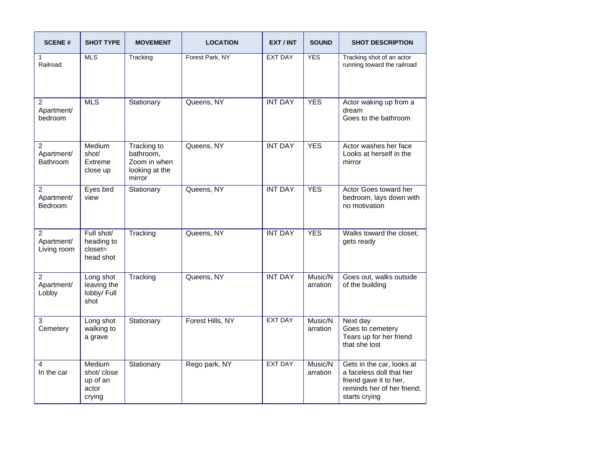| <b>SCENE#</b>                                   | <b>SHOT TYPE</b>                                    | <b>MOVEMENT</b>                                                      | <b>LOCATION</b>  | EXT / INT      | <b>SOUND</b>        | <b>SHOT DESCRIPTION</b>                                                                                                        |
|-------------------------------------------------|-----------------------------------------------------|----------------------------------------------------------------------|------------------|----------------|---------------------|--------------------------------------------------------------------------------------------------------------------------------|
| 1<br>Railroad                                   | <b>MLS</b>                                          | Tracking                                                             | Forest Park, NY  | <b>EXT DAY</b> | <b>YES</b>          | Tracking shot of an actor<br>running toward the railroad                                                                       |
| $\overline{2}$<br>Apartment/<br>bedroom         | <b>MLS</b>                                          | Stationary                                                           | Queens, NY       | <b>INT DAY</b> | <b>YES</b>          | Actor waking up from a<br>dream<br>Goes to the bathroom                                                                        |
| $\overline{2}$<br>Apartment/<br><b>Bathroom</b> | Medium<br>shot/<br>Extreme<br>close up              | Tracking to<br>bathroom,<br>Zoom in when<br>looking at the<br>mirror | Queens, NY       | <b>INT DAY</b> | <b>YES</b>          | Actor washes her face<br>Looks at herself in the<br>mirror                                                                     |
| $\overline{2}$<br>Apartment/<br>Bedroom         | Eyes bird<br>view                                   | Stationary                                                           | Queens, NY       | <b>INT DAY</b> | <b>YES</b>          | Actor Goes toward her<br>bedroom, lays down with<br>no motivation                                                              |
| 2<br>Apartment/<br>Living room                  | Full shot/<br>heading to<br>$close =$<br>head shot  | Tracking                                                             | Queens, NY       | <b>INT DAY</b> | <b>YES</b>          | Walks toward the closet,<br>gets ready                                                                                         |
| $\overline{2}$<br>Apartment/<br>Lobby           | Long shot<br>leaving the<br>lobby/ Full<br>shot     | Tracking                                                             | Queens, NY       | <b>INT DAY</b> | Music/N<br>arration | Goes out, walks outside<br>of the building                                                                                     |
| 3<br>Cemetery                                   | Long shot<br>walking to<br>a grave                  | Stationary                                                           | Forest Hills, NY | <b>EXT DAY</b> | Music/N<br>arration | Next day<br>Goes to cemetery<br>Tears up for her friend<br>that she lost                                                       |
| 4<br>In the car                                 | Medium<br>shot/close<br>up of an<br>actor<br>crying | Stationary                                                           | Rego park, NY    | <b>EXT DAY</b> | Music/N<br>arration | Gets in the car, looks at<br>a faceless doll that her<br>friend gave it to her,<br>reminds her of her friend;<br>starts crying |